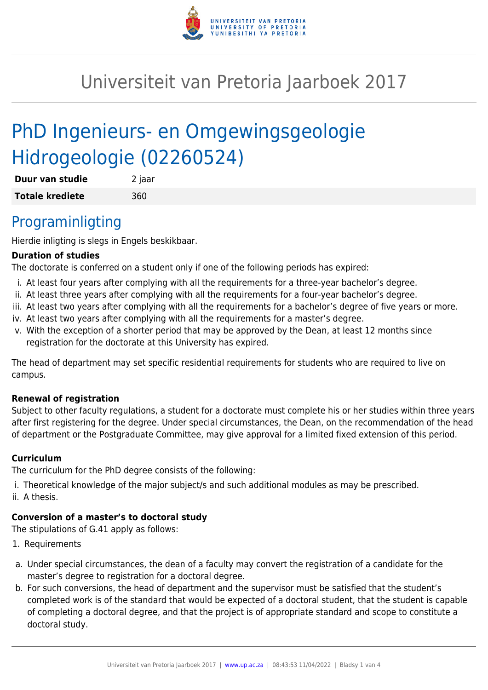

# Universiteit van Pretoria Jaarboek 2017

# PhD Ingenieurs- en Omgewingsgeologie Hidrogeologie (02260524)

| Duur van studie        | 2 jaar |
|------------------------|--------|
| <b>Totale krediete</b> | 360    |

## Programinligting

Hierdie inligting is slegs in Engels beskikbaar.

#### **Duration of studies**

The doctorate is conferred on a student only if one of the following periods has expired:

- i. At least four years after complying with all the requirements for a three-year bachelor's degree.
- ii. At least three years after complying with all the requirements for a four-year bachelor's degree.
- iii. At least two years after complying with all the requirements for a bachelor's degree of five years or more.
- iv. At least two years after complying with all the requirements for a master's degree.
- v. With the exception of a shorter period that may be approved by the Dean, at least 12 months since registration for the doctorate at this University has expired.

The head of department may set specific residential requirements for students who are required to live on campus.

#### **Renewal of registration**

Subject to other faculty regulations, a student for a doctorate must complete his or her studies within three years after first registering for the degree. Under special circumstances, the Dean, on the recommendation of the head of department or the Postgraduate Committee, may give approval for a limited fixed extension of this period.

#### **Curriculum**

The curriculum for the PhD degree consists of the following:

- i. Theoretical knowledge of the major subject/s and such additional modules as may be prescribed.
- ii. A thesis.

### **Conversion of a master's to doctoral study**

The stipulations of G.41 apply as follows:

- 1. Requirements
- a. Under special circumstances, the dean of a faculty may convert the registration of a candidate for the master's degree to registration for a doctoral degree.
- b. For such conversions, the head of department and the supervisor must be satisfied that the student's completed work is of the standard that would be expected of a doctoral student, that the student is capable of completing a doctoral degree, and that the project is of appropriate standard and scope to constitute a doctoral study.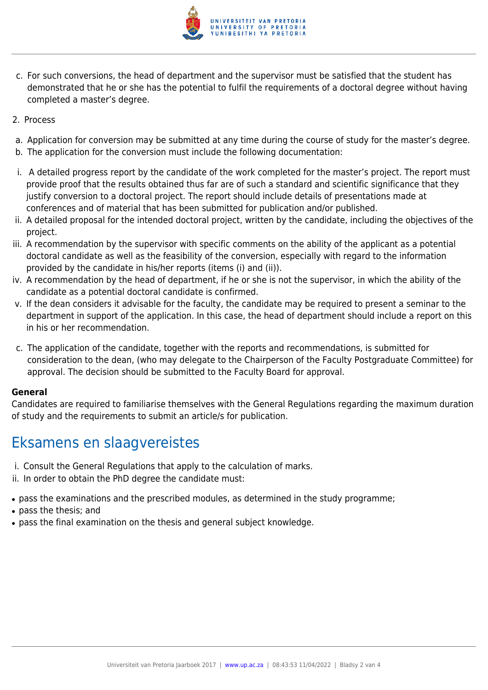

- c. For such conversions, the head of department and the supervisor must be satisfied that the student has demonstrated that he or she has the potential to fulfil the requirements of a doctoral degree without having completed a master's degree.
- 2. Process
- a. Application for conversion may be submitted at any time during the course of study for the master's degree.
- b. The application for the conversion must include the following documentation:
- i. A detailed progress report by the candidate of the work completed for the master's project. The report must provide proof that the results obtained thus far are of such a standard and scientific significance that they justify conversion to a doctoral project. The report should include details of presentations made at conferences and of material that has been submitted for publication and/or published.
- ii. A detailed proposal for the intended doctoral project, written by the candidate, including the objectives of the project.
- iii. A recommendation by the supervisor with specific comments on the ability of the applicant as a potential doctoral candidate as well as the feasibility of the conversion, especially with regard to the information provided by the candidate in his/her reports (items (i) and (ii)).
- iv. A recommendation by the head of department, if he or she is not the supervisor, in which the ability of the candidate as a potential doctoral candidate is confirmed.
- v. If the dean considers it advisable for the faculty, the candidate may be required to present a seminar to the department in support of the application. In this case, the head of department should include a report on this in his or her recommendation.
- c. The application of the candidate, together with the reports and recommendations, is submitted for consideration to the dean, (who may delegate to the Chairperson of the Faculty Postgraduate Committee) for approval. The decision should be submitted to the Faculty Board for approval.

#### **General**

Candidates are required to familiarise themselves with the General Regulations regarding the maximum duration of study and the requirements to submit an article/s for publication.

## Eksamens en slaagvereistes

- i. Consult the General Regulations that apply to the calculation of marks.
- ii. In order to obtain the PhD degree the candidate must:
- pass the examinations and the prescribed modules, as determined in the study programme;
- pass the thesis; and
- pass the final examination on the thesis and general subject knowledge.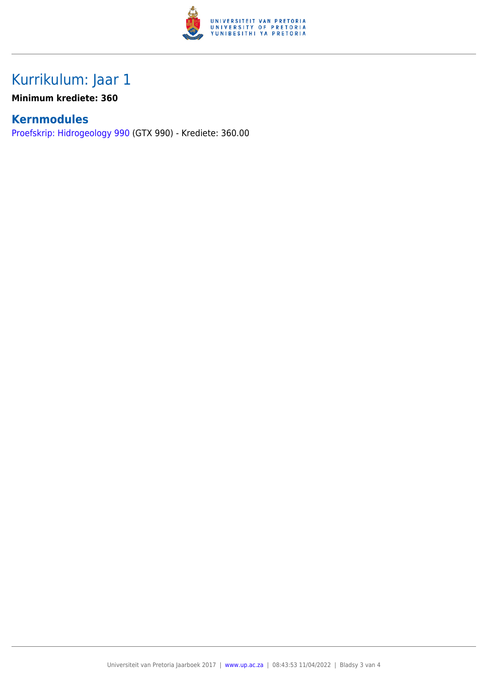

# Kurrikulum: Jaar 1

### **Minimum krediete: 360**

### **Kernmodules**

[Proefskrip: Hidrogeology 990](https://www.up.ac.za/faculty-of-education/yearbooks/2017/modules/view/GTX 990/lg/af) (GTX 990) - Krediete: 360.00